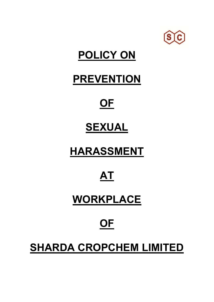

# **POLICY ON**

### **PREVENTION**

# **OF**

## **SEXUAL**

# **HARASSMENT**

## **AT**

### **WORKPLACE**

# **OF**

## **SHARDA CROPCHEM LIMITED**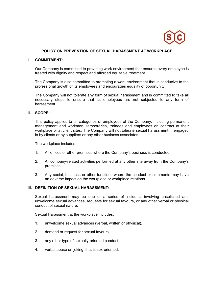

#### **POLICY ON PREVENTION OF SEXUAL HARASSMENT AT WORKPLACE**

#### **I. COMMITMENT:**

Our Company is committed to providing work environment that ensures every employee is treated with dignity and respect and afforded equitable treatment.

The Company is also committed to promoting a work environment that is conducive to the professional growth of its employees and encourages equality of opportunity.

The Company will not tolerate any form of sexual harassment and is committed to take all necessary steps to ensure that its employees are not subjected to any form of harassment.

#### **II. SCOPE:**

This policy applies to all categories of employees of the Company, including permanent management and workmen, temporaries, trainees and employees on contract at their workplace or at client sites. The Company will not tolerate sexual harassment, if engaged in by clients or by suppliers or any other business associates.

The workplace includes:

- 1. All offices or other premises where the Company's business is conducted.
- 2. All company-related activities performed at any other site away from the Company's premises.
- 3. Any social, business or other functions where the conduct or comments may have an adverse impact on the workplace or workplace relations.

#### **III. DEFINITION OF SEXUAL HARASSMENT:**

Sexual harassment may be one or a series of incidents involving unsolicited and unwelcome sexual advances, requests for sexual favours, or any other verbal or physical conduct of sexual nature.

Sexual Harassment at the workplace includes:

- 1. unwelcome sexual advances (verbal, written or physical),
- 2. demand or request for sexual favours,
- 3. any other type of sexually-oriented conduct,
- 4. verbal abuse or 'joking' that is sex-oriented,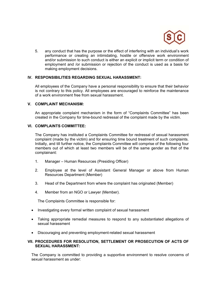

5. any conduct that has the purpose or the effect of interfering with an individual's work performance or creating an intimidating, hostile or offensive work environment and/or submission to such conduct is either an explicit or implicit term or condition of employment and /or submission or rejection of the conduct is used as a basis for making employment decisions.

#### **IV. RESPONSIBILITIES REGARDING SEXUAL HARASSMENT:**

All employees of the Company have a personal responsibility to ensure that their behavior is not contrary to this policy. All employees are encouraged to reinforce the maintenance of a work environment free from sexual harassment.

#### **V. COMPLAINT MECHANISM:**

An appropriate complaint mechanism in the form of "Complaints Committee" has been created in the Company for time-bound redressal of the complaint made by the victim.

#### **VI. COMPLAINTS COMMITTEE:**

The Company has instituted a Complaints Committee for redressal of sexual harassment complaint (made by the victim) and for ensuring time bound treatment of such complaints. Initially, and till further notice, the Complaints Committee will comprise of the following four members out of which at least two members will be of the same gender as that of the complainant:

- 1. Manager Human Resources (Presiding Officer)
- 2. Employee at the level of Assistant General Manager or above from Human Resources Department (Member)
- 3. Head of the Department from where the complaint has originated (Member)
- 4. Member from an NGO or Lawyer (Member).

The Complaints Committee is responsible for:

- Investigating every formal written complaint of sexual harassment
- Taking appropriate remedial measures to respond to any substantiated allegations of sexual harassment
- Discouraging and preventing employment-related sexual harassment

#### **VII. PROCEDURES FOR RESOLUTION, SETTLEMENT OR PROSECUTION OF ACTS OF SEXUAL HARASSMENT:**

The Company is committed to providing a supportive environment to resolve concerns of sexual harassment as under: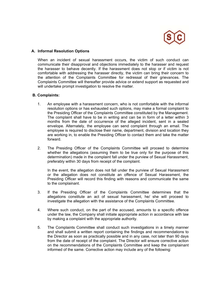

#### **A. Informal Resolution Options**

When an incident of sexual harassment occurs, the victim of such conduct can communicate their disapproval and objections immediately to the harasser and request the harasser to behave decently. If the harassment does not stop or if victim is not comfortable with addressing the harasser directly, the victim can bring their concern to the attention of the Complaints Committee for redressal of their grievances. The Complaints Committee will thereafter provide advice or extend support as requested and will undertake prompt investigation to resolve the matter.

#### **B. Complaints:**

- 1. An employee with a harassment concern, who is not comfortable with the informal resolution options or has exhausted such options, may make a formal complaint to the Presiding Officer of the Complaints Committee constituted by the Management. The complaint shall have to be in writing and can be in form of a letter within 3 months from the date of occurrence of the alleged incident, sent in a sealed envelope. Alternately, the employee can send complaint through an email. The employee is required to disclose their name, department, division and location they are working in, to enable the Presiding Officer to contact them and take the matter forward.
- 2. The Presiding Officer of the Complaints Committee will proceed to determine whether the allegations (assuming them to be true only for the purpose of this determination) made in the complaint fall under the purview of Sexual Harassment, preferably within 30 days from receipt of the complaint.

In the event, the allegation does not fall under the purview of Sexual Harassment or the allegation does not constitute an offence of Sexual Harassment, the Presiding Officer will record this finding with reasons and communicate the same to the complainant.

- 3. If the Presiding Officer of the Complaints Committee determines that the allegations constitute an act of sexual harassment, he/ she will proceed to investigate the allegation with the assistance of the Complaints Committee.
- 4. Where such conduct, on the part of the accused, amounts to a specific offence under the law, the Company shall initiate appropriate action in accordance with law by making a complaint with the appropriate authority.
- 5. The Complaints Committee shall conduct such investigations in a timely manner and shall submit a written report containing the findings and recommendations to the Director as soon as practically possible and in any case, not later than 90 days from the date of receipt of the complaint. The Director will ensure corrective action on the recommendations of the Complaints Committee and keep the complainant informed of the same. Corrective action may include any of the following: